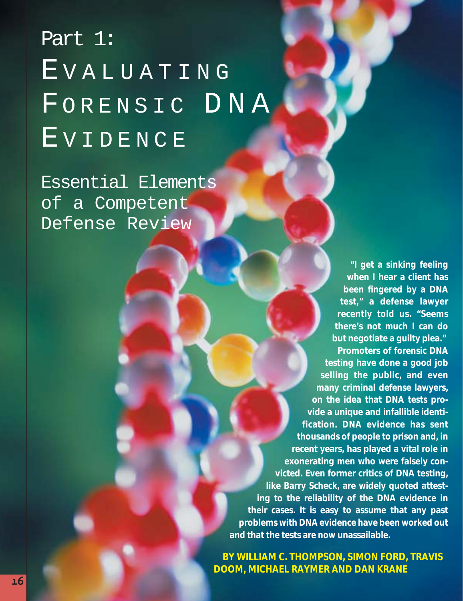# Part 1: EVALUATING FORENSIC DNA EVIDENCE

Essential Elements of a Competent Defense Review

> **"I get a sinking feeling when I hear a client has been fingered by a DNA test," a defense lawyer recently told us. "Seems there's not much I can do but negotiate a guilty plea." Promoters of forensic DNA**

**testing have done a good job selling the public, and even many criminal defense lawyers, on the idea that DNA tests provide a unique and infallible identification. DNA evidence has sent thousands of people to prison and, in recent years, has played a vital role in exonerating men who were falsely convicted. Even former critics of DNA testing, like Barry Scheck, are widely quoted attesting to the reliability of the DNA evidence in their cases. It is easy to assume that any past problems with DNA evidence have been worked out and that the tests are now unassailable.** 

**BY WILLIAM C. THOMPSON, SIMON FORD, TRAVIS DOOM, MICHAEL RAYMER AND DAN KRANE**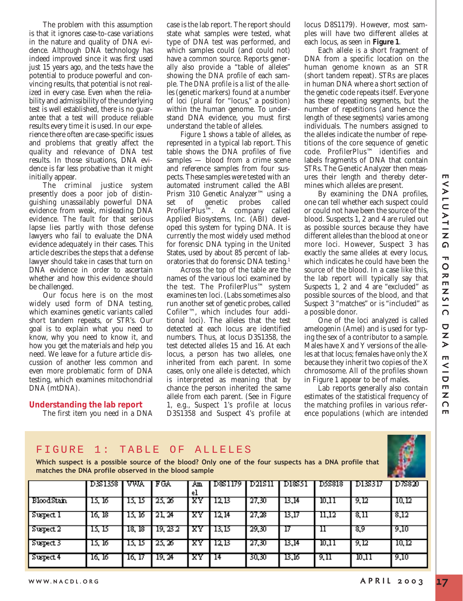The problem with this assumption is that it ignores case-to-case variations in the nature and quality of DNA evidence. Although DNA technology has indeed improved since it was first used just 15 years ago, and the tests have the potential to produce powerful and convincing results, that potential is not realized in every case. Even when the reliability and admissibility of the underlying test is well established, there is no guarantee that a test will produce reliable results every time it is used. In our experience there often are case-specific issues and problems that greatly affect the quality and relevance of DNA test results. In those situations, DNA evidence is far less probative than it might initially appear.

The criminal justice system presently does a poor job of distinguishing unassailably powerful DNA evidence from weak, misleading DNA evidence. The fault for that serious lapse lies partly with those defense lawyers who fail to evaluate the DNA evidence adequately in their cases. This article describes the steps that a defense lawyer should take in cases that turn on DNA evidence in order to ascertain whether and how this evidence should be challenged.

Our focus here is on the most widely used form of DNA testing, which examines genetic variants called short tandem repeats, or STR's. Our goal is to explain what you need to know, why you need to know it, and how you get the materials and help you need. We leave for a future article discussion of another less common and even more problematic form of DNA testing, which examines mitochondrial DNA (mtDNA).

# **Understanding the lab report**

The first item you need in a DNA

case is the lab report. The report should state what samples were tested, what type of DNA test was performed, and which samples could (and could not) have a common source. Reports generally also provide a "table of alleles" showing the *DNA profile* of each sample. The *DNA profile* is a list of the *alleles* (genetic markers) found at a number of *loci* (plural for "locus," a position) within the human genome. To understand DNA evidence, you must first understand the table of alleles.

Figure 1 shows a table of alleles, as represented in a typical lab report. This table shows the DNA profiles of five samples — blood from a crime scene and reference samples from four suspects. These samples were tested with an automated instrument called the ABI Prism 310 Genetic Analyzer™ using a set of genetic probes called ProfilerPlus™. A company called Applied Biosystems, Inc. (ABI) developed this system for typing DNA. It is currently the most widely used method for forensic DNA typing in the United States, used by about 85 percent of laboratories that do forensic DNA testing.1

Across the top of the table are the names of the various loci examined by the test. The ProfilerPlus™ system examines ten loci. (Labs sometimes also run another set of genetic probes, called Cofiler™, which includes four additional loci). The alleles that the test detected at each locus are identified numbers. Thus, at locus D3S1358, the test detected alleles 15 and 16. At each locus, a person has two alleles, one inherited from each parent. In some cases, only one allele is detected, which is interpreted as meaning that by chance the person inherited the same allele from each parent. (See in Figure 1, e.g., Suspect 1's profile at locus D3S1358 and Suspect 4's profile at

locus D8S1179). However, most samples will have two different alleles at each locus, as seen in **Figure 1**.

Each allele is a short fragment of DNA from a specific location on the human genome known as an STR (short tandem repeat). STRs are places in human DNA where a short section of the genetic code repeats itself. Everyone has these repeating segments, but the number of repetitions (and hence the length of these segments) varies among individuals. The numbers assigned to the alleles indicate the number of repetitions of the core sequence of genetic code. ProfilerPlus™ identifies and labels fragments of DNA that contain STRs. The Genetic Analyzer then measures their length and thereby determines which alleles are present.

By examining the DNA profiles, one can tell whether each suspect could or could not have been the source of the blood. Suspects 1, 2 and 4 are ruled out as possible sources because they have different alleles than the blood at one or more loci. However, Suspect 3 has exactly the same alleles at every locus, which indicates he could have been the source of the blood. In a case like this, the lab report will typically say that Suspects 1, 2 and 4 are "excluded" as possible sources of the blood, and that Suspect 3 "matches" or is "included" as a possible donor.

One of the loci analyzed is called amelogenin (Amel) and is used for typing the sex of a contributor to a sample. Males have X and Y versions of the alleles at that locus; females have only the X because they inherit two copies of the X chromosome. All of the profiles shown in Figure 1 appear to be of males.

Lab reports generally also contain estimates of the statistical frequency of the matching profiles in various reference populations (which are intended

# FIGURE 1: TABLE OF ALLELES

**Which suspect is a possible source of the blood? Only one of the four suspects has a DNA profile that matches the DNA profile observed in the blood sample**

|                | D3S1358 | I VWA  | FGA      | Aщ<br>еı | DSS1179 | D21S11 | DI851 | D5S818 | DI3317 | D7S820 |
|----------------|---------|--------|----------|----------|---------|--------|-------|--------|--------|--------|
| BloodStain     | 15, 16  | ם בו   | 25, 26   | xΥ       | 12 B    | 27,30  | 13,14 | 10,11  | 9, 12  | 10, 12 |
| Suspect I      | 16, 18  | 12. IO | 21. 24   | xΥ       | 12, 14  | 27,28  | 13,17 | 11,12  | 8,11   | 8,12   |
| Suspect 2      | ם גו    | 18, 18 | 19, 23 2 |          | 13.15   | 29,30  |       |        | 89     | 9,10   |
| Suspect 3      | 15, 16, | 15. 15 | 25, 25   | XY       | 12B     | -27,30 | 13.14 | 10,11  | 9.12   | 10,12  |
| $S$ uspect $4$ | 16, 16, | 16, 17 | 19. M    | XY       | -14     | 30.BF  | 13.16 | 9,11   | 10,11  | -9,10  |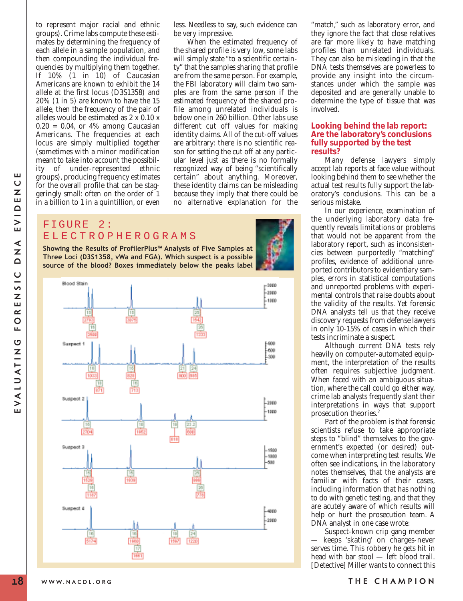to represent major racial and ethnic groups). Crime labs compute these estimates by determining the frequency of each allele in a sample population, and then compounding the individual frequencies by multiplying them together. If 10% (1 in 10) of Caucasian Americans are known to exhibit the 14 allele at the first locus (D3S1358) and 20% (1 in 5) are known to have the 15 allele, then the frequency of the pair of alleles would be estimated as 2 x 0.10 x  $0.20 = 0.04$ , or  $4\%$  among Caucasian Americans. The frequencies at each locus are simply multiplied together (sometimes with a minor modification meant to take into account the possibility of under-represented ethnic groups), producing frequency estimates for the overall profile that can be staggeringly small: often on the order of 1 in a billion to 1 in a quintillion, or even

less. Needless to say, such evidence can be very impressive.

When the estimated frequency of the shared profile is very low, some labs will simply state "to a scientific certainty" that the samples sharing that profile *are* from the same person. For example, the FBI laboratory will claim two samples *are* from the same person if the estimated frequency of the shared profile among unrelated individuals is below one in 260 billion. Other labs use different cut off values for making identity claims. All of the cut-off values are arbitrary: there is no scientific reason for setting the cut off at any particular level just as there is no formally recognized way of being "scientifically certain" about anything. Moreover, these identity claims can be misleading because they imply that there could be no alternative explanation for the

# FIGURE 2: ELECTROPHEROGRAMS

**Showing the Results of ProfilerPlus™ Analysis of Five Samples at Three Loci (D3S1358, vWa and FGA). Which suspect is a possible source of the blood? Boxes immediately below the peaks label**



"match," such as laboratory error, and they ignore the fact that close relatives are far more likely to have matching profiles than unrelated individuals. They can also be misleading in that the DNA tests themselves are powerless to provide any insight into the circumstances under which the sample was deposited and are generally unable to determine the type of tissue that was involved.

#### **Looking behind the lab report: Are the laboratory's conclusions fully supported by the test results?**

Many defense lawyers simply accept lab reports at face value without looking behind them to see whether the actual test results fully support the laboratory's conclusions. This can be a serious mistake.

In our experience, examination of the underlying laboratory data frequently reveals limitations or problems that would not be apparent from the laboratory report, such as inconsistencies between purportedly "matching" profiles, evidence of additional unreported contributors to evidentiary samples, errors in statistical computations and unreported problems with experimental controls that raise doubts about the validity of the results. Yet forensic DNA analysts tell us that they receive discovery requests from defense lawyers in only 10-15% of cases in which their tests incriminate a suspect.

Although current DNA tests rely heavily on computer-automated equipment, the interpretation of the results often requires subjective judgment. When faced with an ambiguous situation, where the call could go either way, crime lab analysts frequently slant their interpretations in ways that support prosecution theories.2

Part of the problem is that forensic scientists refuse to take appropriate steps to "blind" themselves to the government's expected (or desired) outcome when interpreting test results. We often see indications, in the laboratory notes themselves, that the analysts are familiar with facts of their cases, including information that has nothing to do with genetic testing, and that they are acutely aware of which results will help or hurt the prosecution team. A DNA analyst in one case wrote:

Suspect-known crip gang member — keeps 'skating' on charges-never serves time. This robbery he gets hit in head with bar stool — left blood trail. [Detective] Miller wants to connect this

ш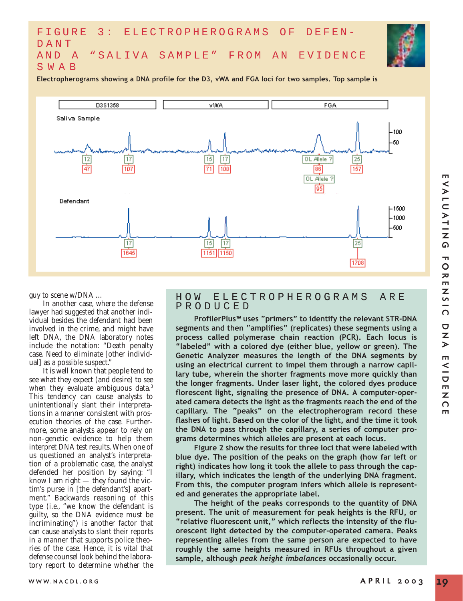# FIGURE 3: ELECTROPHEROGRAMS OF DEFEN-DANT AND A "SALIVA SAMPLE" FROM AN EVIDENCE SWAB

**Electropherograms showing a DNA profile for the D3, vWA and FGA loci for two samples. Top sample is**



guy to scene w/DNA …

In another case, where the defense lawyer had suggested that another individual besides the defendant had been involved in the crime, and might have left DNA, the DNA laboratory notes include the notation: "Death penalty case. Need to eliminate [other individual] as a possible suspect."

It is well known that people tend to see what they expect (and desire) to see when they evaluate ambiguous data.<sup>3</sup> This tendency can cause analysts to unintentionally slant their interpretations in a manner consistent with prosecution theories of the case. Furthermore, some analysts appear to rely on non-genetic evidence to help them interpret DNA test results. When one of us questioned an analyst's interpretation of a problematic case, the analyst defended her position by saying: "I know I am right — they found the victim's purse in [the defendant's] apartment." Backwards reasoning of this type (*i.e.*, "we know the defendant is guilty, so the DNA evidence must be incriminating") is another factor that can cause analysts to slant their reports in a manner that supports police theories of the case. Hence, it is vital that defense counsel look behind the laboratory report to determine whether the

## HOW ELECTROPHEROGRAMS ARE PRODUCED

**ProfilerPlus™ uses "primers" to identify the relevant STR-DNA segments and then "amplifies" (replicates) these segments using a process called polymerase chain reaction (PCR). Each locus is "labeled" with a colored dye (either blue, yellow or green). The Genetic Analyzer measures the length of the DNA segments by using an electrical current to impel them through a narrow capillary tube, wherein the shorter fragments move more quickly than the longer fragments. Under laser light, the colored dyes produce florescent light, signaling the presence of DNA. A computer-operated camera detects the light as the fragments reach the end of the capillary. The "peaks" on the electropherogram record these flashes of light. Based on the color of the light, and the time it took the DNA to pass through the capillary, a series of computer programs determines which alleles are present at each locus.** 

**Figure 2 show the results for three loci that were labeled with blue dye. The position of the peaks on the graph (how far left or right) indicates how long it took the allele to pass through the capillary, which indicates the length of the underlying DNA fragment. From this, the computer program infers which allele is represented and generates the appropriate label.** 

**The height of the peaks corresponds to the quantity of DNA present. The unit of measurement for peak heights is the RFU, or "relative fluorescent unit," which reflects the intensity of the fluorescent light detected by the computer-operated camera. Peaks representing alleles from the same person are expected to have roughly the same heights measured in RFUs throughout a given sample, although** *peak height imbalances* **occasionally occur.**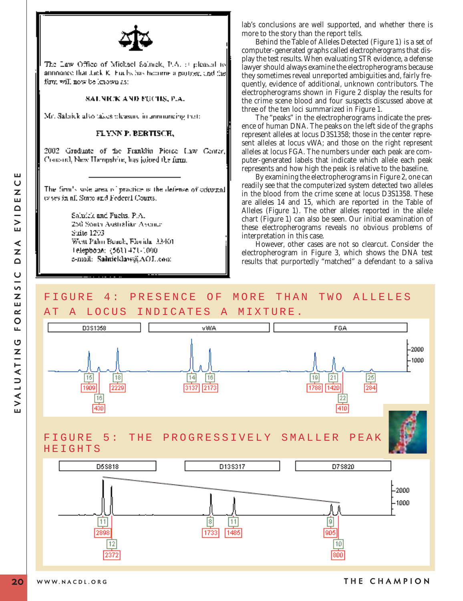

The Law Office of Michael Salmek, P.A.  $\beta$  pleased to announce that tack K. Furbs has become a partner, and the fum will now be known as:

#### SALNICK AND FECHS, P.A.

Mr. Salaick also takes pleasure in annumeing that:

#### FLYNY P. BERTISCH,

2002 Graduate of the Franklin Piorce Law Center, Concord, New Hampshire, has joined the firm.

The firm's spie area of practice is the defense of coloural es ses in all State and Federal Courts.

> Saludek and Fuelis, P.A. 250 Sonta Australian Avenue Suite 1203 West Palm Boach, Florida, 33401 Telephobe: (561) 471-1000 e-mail: Salnicklaw@AOL.com

lab's conclusions are well supported, and whether there is more to the story than the report tells.

Behind the Table of Alleles Detected (Figure 1) is a set of computer-generated graphs called *electropherograms* that display the test results. When evaluating STR evidence, a defense lawyer should always examine the electropherograms because they sometimes reveal unreported ambiguities and, fairly frequently, evidence of additional, unknown contributors. The electropherograms shown in Figure 2 display the results for the crime scene blood and four suspects discussed above at three of the ten loci summarized in Figure 1.

The "peaks" in the electropherograms indicate the presence of human DNA. The peaks on the left side of the graphs represent alleles at locus D3S1358; those in the center represent alleles at locus vWA; and those on the right represent alleles at locus FGA. The numbers under each peak are computer-generated labels that indicate which allele each peak represents and how high the peak is relative to the baseline.

By examining the electropherograms in Figure 2, one can readily see that the computerized system detected two alleles in the blood from the crime scene at locus D3S1358. These are alleles 14 and 15, which are reported in the Table of Alleles (Figure 1). The other alleles reported in the allele chart (Figure 1) can also be seen. Our initial examination of these electropherograms reveals no obvious problems of interpretation in this case.

However, other cases are not so clearcut. Consider the electropherogram in Figure 3, which shows the DNA test results that purportedly "matched" a defendant to a saliva

# FIGURE 4: PRESENCE OF MORE THAN TWO ALLELES

AT A LOCUS INDICATES A MIXTURE.





ш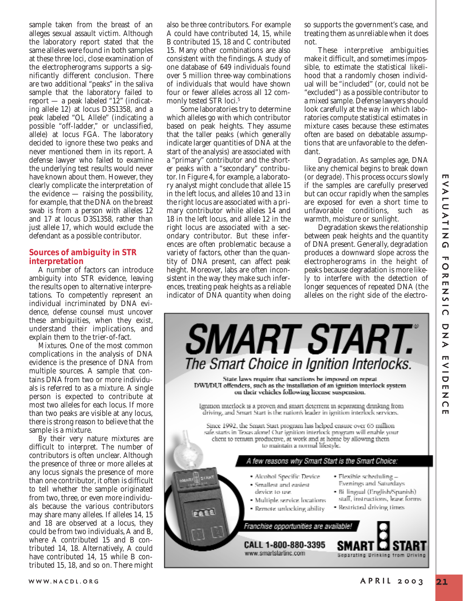sample taken from the breast of an alleges sexual assault victim. Although the laboratory report stated that the same alleles were found in both samples at these three loci, close examination of the electropherograms supports a significantly different conclusion. There are two additional "peaks" in the saliva sample that the laboratory failed to report — a peak labeled "12" (indicating allele 12) at locus D3S1358, and a peak labeled "OL Allele" (indicating a possible "off-ladder," or unclassified, allele) at locus FGA. The laboratory decided to ignore these two peaks and never mentioned them in its report. A defense lawyer who failed to examine the underlying test results would never have known about them. However, they clearly complicate the interpretation of the evidence  $-$  raising the possibility, for example, that the DNA on the breast swab is from a person with alleles 12 and 17 at locus D3S1358, rather than just allele 17, which would exclude the defendant as a possible contributor.

### **Sources of ambiguity in STR interpretation**

A number of factors can introduce ambiguity into STR evidence, leaving the results open to alternative interpretations. To competently represent an individual incriminated by DNA evidence, defense counsel must uncover these ambiguities, when they exist, understand their implications, and explain them to the trier-of-fact.

*Mixtures.* One of the most common complications in the analysis of DNA evidence is the presence of DNA from multiple sources. A sample that contains DNA from two or more individuals is referred to as a *mixture*. A single person is expected to contribute at most two alleles for each locus. If more than two peaks are visible at any locus, there is strong reason to believe that the sample is a mixture.

By their very nature mixtures are difficult to interpret. The number of contributors is often unclear. Although the presence of three or more alleles at any locus signals the presence of more than one contributor, it often is difficult to tell whether the sample originated from two, three, or even more individuals because the various contributors may share many alleles. If alleles 14, 15 and 18 are observed at a locus, they could be from two individuals, A and B, where A contributed 15 and B contributed 14, 18. Alternatively, A could have contributed 14, 15 while B contributed 15, 18, and so on. There might also be three contributors. For example A could have contributed 14, 15, while B contributed 15, 18 and C contributed 15. Many other combinations are also consistent with the findings. A study of one database of 649 individuals found over 5 million three-way combinations of individuals that would have shown four or fewer alleles across all 12 commonly tested STR loci.5

Some laboratories try to determine which alleles go with which contributor based on peak heights. They assume that the taller peaks (which generally indicate larger quantities of DNA at the start of the analysis) are associated with a "primary" contributor and the shorter peaks with a "secondary" contributor. In Figure 4, for example, a laboratory analyst might conclude that allele 15 in the left locus, and alleles 10 and 13 in the right locus are associated with a primary contributor while alleles 14 and 18 in the left locus, and allele 12 in the right locus are associated with a secondary contributor. But these inferences are often problematic because a variety of factors, other than the quantity of DNA present, can affect peak height. Moreover, labs are often inconsistent in the way they make such inferences, treating peak heights as a reliable indicator of DNA quantity when doing so supports the government's case, and treating them as unreliable when it does not.

These interpretive ambiguities make it difficult, and sometimes impossible, to estimate the statistical likelihood that a randomly chosen individual will be "included" (or, could not be "excluded") as a possible contributor to a mixed sample. Defense lawyers should look carefully at the way in which laboratories compute statistical estimates in mixture cases because these estimates often are based on debatable assumptions that are unfavorable to the defendant.

*Degradation*. As samples age, DNA like any chemical begins to break down (or *degrade*). This process occurs slowly if the samples are carefully preserved but can occur rapidly when the samples are exposed for even a short time to unfavorable conditions, such as warmth, moisture or sunlight.

Degradation skews the relationship between peak heights and the quantity of DNA present. Generally, degradation produces a downward slope across the electropherograms in the height of peaks because degradation is more likely to interfere with the detection of longer sequences of repeated DNA (the alleles on the right side of the electro-

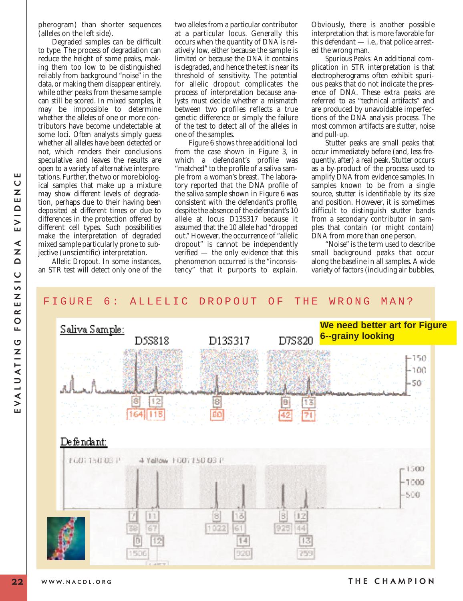pherogram) than shorter sequences (alleles on the left side).

Degraded samples can be difficult to type. The process of degradation can reduce the height of some peaks, making them too low to be distinguished reliably from background "noise" in the data, or making them disappear entirely, while other peaks from the same sample can still be scored. In mixed samples, it may be impossible to determine whether the alleles of one or more contributors have become undetectable at some loci. Often analysts simply guess whether all alleles have been detected or not, which renders their conclusions speculative and leaves the results are open to a variety of alternative interpretations. Further, the two or more biological samples that make up a mixture may show different levels of degradation, perhaps due to their having been deposited at different times or due to differences in the protection offered by different cell types. Such possibilities make the interpretation of degraded mixed sample particularly prone to subjective (unscientific) interpretation.

*Allelic Dropout*. In some instances, an STR test will detect only one of the two alleles from a particular contributor at a particular locus. Generally this occurs when the quantity of DNA is relatively low, either because the sample is limited or because the DNA it contains is degraded, and hence the test is near its threshold of sensitivity. The potential for allelic dropout complicates the process of interpretation because analysts must decide whether a mismatch between two profiles reflects a true genetic difference or simply the failure of the test to detect all of the alleles in one of the samples.

Figure 6 shows three additional loci from the case shown in Figure 3, in which a defendant's profile was "matched" to the profile of a saliva sample from a woman's breast. The laboratory reported that the DNA profile of the saliva sample shown in Figure 6 was consistent with the defendant's profile, despite the absence of the defendant's 10 allele at locus D13S317 because it assumed that the 10 allele had "dropped out." However, the occurrence of "allelic dropout" is cannot be independently verified — the only evidence that this phenomenon occurred is the "inconsistency" that it purports to explain.

Obviously, there is another possible interpretation that is more favorable for this defendant — i.e., that police arrested the wrong man.

*Spurious Peaks*. An additional complication in STR interpretation is that electropherograms often exhibit spurious peaks that do not indicate the presence of DNA. These extra peaks are referred to as "technical artifacts" and are produced by unavoidable imperfections of the DNA analysis process. The most common artifacts are *stutter*, *noise* and *pull-up*.

Stutter peaks are small peaks that occur immediately before (and, less frequently, after) a real peak. Stutter occurs as a by-product of the process used to amplify DNA from evidence samples. In samples known to be from a single source, stutter is identifiable by its size and position. However, it is sometimes difficult to distinguish stutter bands from a secondary contributor in samples that contain (or might contain) DNA from more than one person.

"Noise" is the term used to describe small background peaks that occur along the baseline in all samples. A wide variety of factors (including air bubbles,

# FIGURE 6: ALLELIC DROPOUT OF THE WRONG MAN?



ш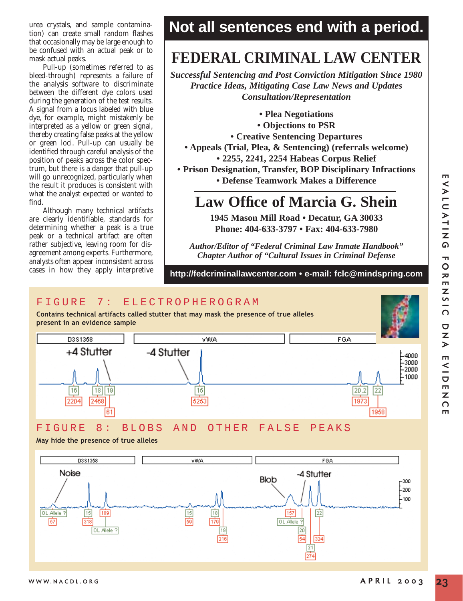urea crystals, and sample contamination) can create small random flashes that occasionally may be large enough to be confused with an actual peak or to mask actual peaks.

Pull-up (sometimes referred to as bleed-through) represents a failure of the analysis software to discriminate between the different dye colors used during the generation of the test results. A signal from a locus labeled with blue dye, for example, might mistakenly be interpreted as a yellow or green signal, thereby creating false peaks at the yellow or green loci. Pull-up can usually be identified through careful analysis of the position of peaks across the color spectrum, but there is a danger that pull-up will go unrecognized, particularly when the result it produces is consistent with what the analyst expected or wanted to find.

Although many technical artifacts are clearly identifiable, standards for determining whether a peak is a true peak or a technical artifact are often rather subjective, leaving room for disagreement among experts. Furthermore, analysts often appear inconsistent across cases in how they apply interpretive

# **Not all sentences end with a period.**

# **FEDERAL CRIMINAL LAW CENTER**

*Successful Sentencing and Post Conviction Mitigation Since 1980 Practice Ideas, Mitigating Case Law News and Updates Consultation/Representation*

**• Plea Negotiations**

- **Objections to PSR**
- **Creative Sentencing Departures**
- **Appeals (Trial, Plea, & Sentencing) (referrals welcome)**
	- **2255, 2241, 2254 Habeas Corpus Relief**

**• Prison Designation, Transfer, BOP Disciplinary Infractions • Defense Teamwork Makes a Difference**

# **Law Office of Marcia G. Shein**

**1945 Mason Mill Road • Decatur, GA 30033 Phone: 404-633-3797 • Fax: 404-633-7980**

*Author/Editor of "Federal Criminal Law Inmate Handbook" Chapter Author of "Cultural Issues in Criminal Defense*

# **http://fedcriminallawcenter.com • e-mail: fclc@mindspring.com**

# FIGURE 7: ELECTROPHEROGRAM

**Contains technical artifacts called stutter that may mask the presence of true alleles present in an evidence sample**



FIGURE 8: BLOBS AND OTHER FALSE PEAKS

**May hide the presence of true alleles**

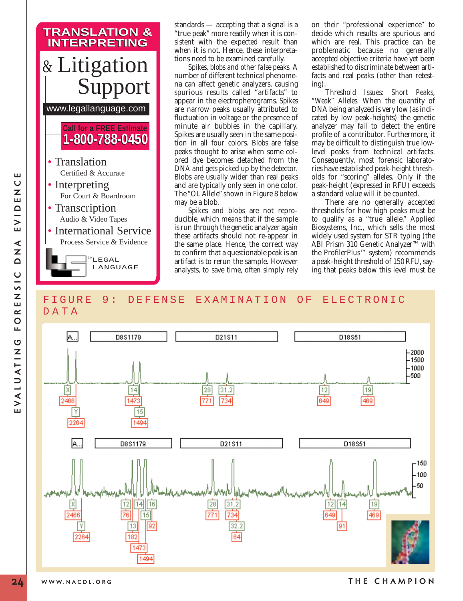

standards — accepting that a signal is a "true peak" more readily when it is consistent with the expected result than when it is not. Hence, these interpretations need to be examined carefully.

*Spikes, blobs and other false peaks.* A number of different technical phenomena can affect genetic analyzers, causing spurious results called "artifacts" to appear in the electropherograms. *Spikes* are narrow peaks usually attributed to fluctuation in voltage or the presence of minute air bubbles in the capillary. Spikes are usually seen in the same position in all four colors. *Blobs* are false peaks thought to arise when some colored dye becomes detached from the DNA and gets picked up by the detector. Blobs are usually wider than real peaks and are typically only seen in one color. The "OL Allele" shown in Figure 8 below may be a blob.

Spikes and blobs are not reproducible, which means that if the sample is run through the genetic analyzer again these artifacts should not re-appear in the same place. Hence, the correct way to confirm that a questionable peak is an artifact is to rerun the sample. However analysts, to save time, often simply rely on their "professional experience" to decide which results are spurious and which are real. This practice can be problematic because no generally accepted objective criteria have yet been established to discriminate between artifacts and real peaks (other than retesting).

*Threshold Issues: Short Peaks, "Weak" Alleles.* When the quantity of DNA being analyzed is very low (as indicated by low peak-heights) the genetic analyzer may fail to detect the entire profile of a contributor. Furthermore, it may be difficult to distinguish true lowlevel peaks from technical artifacts. Consequently, most forensic laboratories have established peak-height thresholds for "scoring" alleles. Only if the peak-height (expressed in RFU) exceeds a standard value will it be counted.

There are no generally accepted thresholds for how high peaks must be to qualify as a "true allele." Applied Biosystems, Inc., which sells the most widely used system for STR typing (the ABI Prism 310 Genetic Analyzer™ with the ProfilerPlus™ system) recommends a peak-height threshold of 150 RFU, saying that peaks below this level must be

# FIGURE 9: DEFENSE EXAMINATION OF ELECTRONIC DATA



ш  $\cup$  $\overline{z}$ 

**WWW.NACDL.ORG THE CHAMPION**

**24**